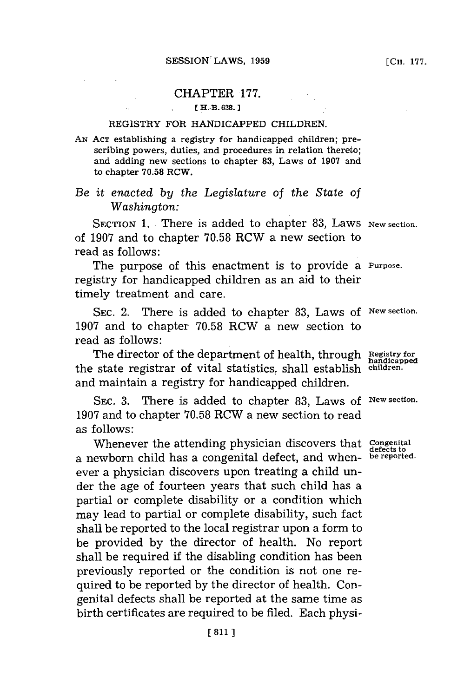## CHAPTER **177.**

## **[ EH.-B.638.J1**

## **REGISTRY FOR HANDICAPPED CHILDREN.**

**AN ACT** establishing a registry for handicapped children; prescribing powers, duties, and procedures in **relation thereto;** and adding new sections to chapter **83, Laws of 1907** and to chapter **70.58** RCW.

## *Be it enacted by the Legislature of the State of Washington:*

SECTION 1. There is added to chapter 83, Laws New section. of **1907** and to chapter **70.58** RCW a new section to read as follows:

The purpose of this enactment is to provide a **Purpose.** registry for handicapped children as an aid to their timely treatment and care.

SEC. 2. There is added to chapter **83,** Laws of **New section. 1907** and to chapter **70.58** RCW a new section to read as follows:

The director of the department of health, through **Registry for** the state registrar of vital statistics, shall establish **children.** and maintain a registry for handicapped children.

**SEC. 3.** There is added to chapter **83,** Laws of **New section. 1907** and to chapter **70.58** RCW a new section to read as follows:

Whenever the attending physician discovers that **Congenital**<br>coutborn child has a congenital defect and when, be reported. a newborn child has a congenital defect, and whenever a physician discovers upon treating a child under the age of fourteen years that such child has a partial or complete disability or a condition which may lead to partial or complete disability, such fact shall be reported to the local registrar upon a form to be provided **by** the director of health. No report shall be required if the disabling condition has been previously reported or the condition is not one required to be reported **by** the director of health. Congenital defects shall be reported at the same time as birth certificates are required to be filed. Each physi-